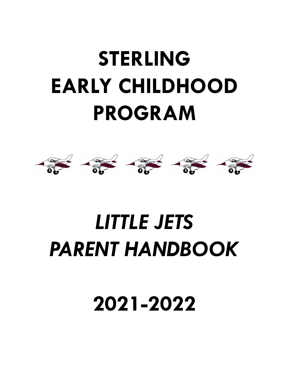# **STERLING EARLY CHILDHOOD PROGRAM**



## *LITTLE JETS PARENT HANDBOOK*

**2021-2022**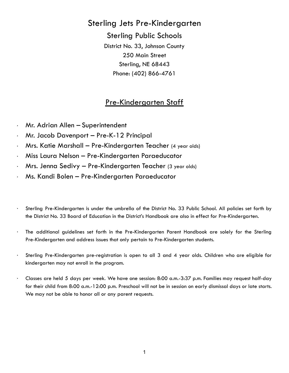### Sterling Jets Pre-Kindergarten

Sterling Public Schools District No. 33, Johnson County 250 Main Street Sterling, NE 68443 Phone: (402) 866-4761

### Pre-Kindergarten Staff

- · Mr. Adrian Allen Superintendent
- · Mr. Jacob Davenport Pre-K-12 Principal
- · Mrs. Katie Marshall Pre-Kindergarten Teacher (4 year olds)
- · Miss Laura Nelson Pre-Kindergarten Paraeducator
- · Mrs. Jenna Sedivy Pre-Kindergarten Teacher (3 year olds)
- · Ms. Kandi Bolen Pre-Kindergarten Paraeducator
- · Sterling Pre-Kindergarten is under the umbrella of the District No. 33 Public School. All policies set forth by the District No. 33 Board of Education in the District's Handbook are also in effect for Pre-Kindergarten.
- · The additional guidelines set forth in the Pre-Kindergarten Parent Handbook are solely for the Sterling Pre-Kindergarten and address issues that only pertain to Pre-Kindergarten students.
- · Sterling Pre-Kindergarten pre-registration is open to all 3 and 4 year olds. Children who are eligible for kindergarten may not enroll in the program.
- · Classes are held 5 days per week. We have one session: 8:00 a.m.-3:37 p.m. Families may request half-day for their child from 8:00 a.m.-12:00 p.m. Preschool will not be in session on early dismissal days or late starts. We may not be able to honor all or any parent requests.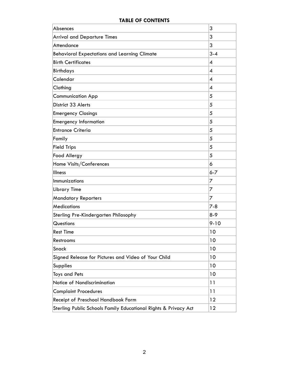#### **TABLE OF CONTENTS**

| Absences                                            | 3                |
|-----------------------------------------------------|------------------|
| <b>Arrival and Departure Times</b>                  | 3                |
| <b>Attendance</b>                                   | 3                |
| <b>Behavioral Expectations and Learning Climate</b> | $3 - 4$          |
| <b>Birth Certificates</b>                           | $\boldsymbol{4}$ |
| <b>Birthdays</b>                                    | $\boldsymbol{4}$ |
| Calendar                                            | 4                |
| Clothing                                            | $\boldsymbol{4}$ |
| <b>Communication App</b>                            | 5                |
| District 33 Alerts                                  | 5                |
| <b>Emergency Closings</b>                           | 5                |
| <b>Emergency Information</b>                        | 5                |
| <b>Entrance Criteria</b>                            | 5                |
| Family                                              | 5                |
| <b>Field Trips</b>                                  | 5                |
| <b>Food Allergy</b>                                 | 5                |
| Home Visits/Conferences                             | 6                |
| <b>Illness</b>                                      | $6 - 7$          |
| Immunizations                                       | 7                |
| Library Time                                        | 7                |
| <b>Mandatory Reporters</b>                          | 7                |
| <b>Medications</b>                                  | $7 - 8$          |
| Sterling Pre-Kindergarten Philosophy                | $8-9$            |
| Questions                                           | $9 - 10$         |
| <b>Rest Time</b>                                    | 10               |
| Restrooms                                           | 10               |
| Snack                                               | 10               |
|                                                     |                  |
| Signed Release for Pictures and Video of Your Child | 10               |
| Supplies                                            | 10               |
| <b>Toys and Pets</b>                                | 10               |
| Notice of Nondiscrimination                         | 11               |
| <b>Complaint Procedures</b>                         | 11               |
| Receipt of Preschool Handbook Form                  | 12               |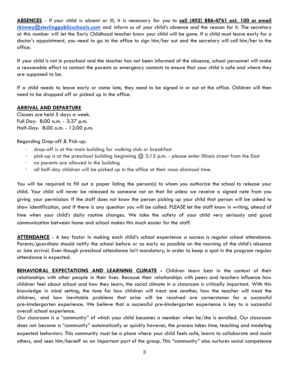**ABSENCES** - If your child is absent or ill, it is necessary for you to **call (402) 886-4761 ext. 100 or email [rkinney@sterlingpublicschools.com](mailto:rkinney@sterlingpublicschools.com)** and inform us of your child's absence and the reason for it. The secretary at this number will let the Early Childhood teacher know your child will be gone. If a child must leave early for a doctor's appointment, you need to go to the office to sign him/her out and the secretary will call him/her to the office.

If your child is not in preschool and the teacher has not been informed of the absence, school personnel will make a reasonable effort to contact the parents or emergency contacts to ensure that your child is safe and where they are supposed to be.

If a child needs to leave early or come late, they need to be signed in or out at the office. Children will then need to be dropped off or picked up in the office.

#### **ARRIVAL AND DEPARTURE**

Classes are held 5 days a week. Full Day: 8:00 a.m. - 3:37 p.m. Half-Day: 8:00 a.m. - 12:00 p.m.

#### Regarding Drop-off & Pick-up:

- · drop-off is at the main building for walking club or breakfast
- pick-up is at the preschool building beginning  $\omega$  3:15 p.m. please enter Illinois street from the East
- · no parents are allowed in the building
- · all half-day children will be picked up in the office at their noon dismissal time.

You will be required to fill out a paper listing the person(s) to whom you authorize the school to release your child. Your child will never be released to someone not on that list unless we receive a signed note from you giving your permission. If the staff does not know the person picking up your child that person will be asked to show identification, and if there is any question you will be called. PLEASE let the staff know in writing, ahead of time when your child's daily routine changes. We take the safety of your child very seriously and good communication between home and school makes this much easier for the staff.

**ATTENDANCE** - A key factor in making each child's school experience a success is regular school attendance. Parents/guardians should notify the school before or as early as possible on the morning of the child's absence or late arrival. Even though preschool attendance isn't mandatory, in order to keep a spot in the program regular attendance is expected.

**BEHAVIORAL EXPECTATIONS AND LEARNING CLIMATE -** Children learn best in the context of their relationships with other people in their lives. Because their relationships with peers and teachers influence how children feel about school and how they learn, the social climate in a classroom is critically important. With this knowledge in mind setting, the tone for how children will treat one another, how the teacher will treat the children, and how inevitable problems that arise will be resolved are cornerstones for a successful pre-kindergarten experience. We believe that a successful pre-kindergarten experience is key to a successful overall school experience.

Our classroom is a "community" of which your child becomes a member when he/she is enrolled. Our classroom does not become a "community" automatically or quickly however, the process takes time, teaching and modeling expected behaviors. This community must be a place where your child feels safe, learns to collaborate and assist others, and sees him/herself as an important part of the group. This "community" also nurtures social competence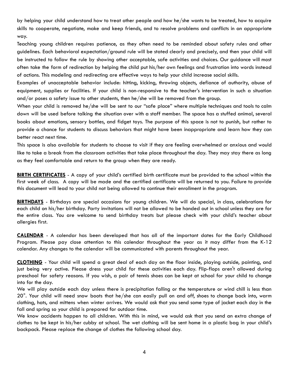by helping your child understand how to treat other people and how he/she wants to be treated, how to acquire skills to cooperate, negotiate, make and keep friends, and to resolve problems and conflicts in an appropriate way.

Teaching young children requires patience, as they often need to be reminded about safety rules and other guidelines. Each behavioral expectation/ground rule will be stated clearly and precisely, and then your child will be instructed to follow the rule by showing other acceptable, safe activities and choices. Our guidance will most often take the form of redirection by helping the child put his/her own feelings and frustration into words instead of actions. This modeling and redirecting are effective ways to help your child increase social skills.

Examples of unacceptable behavior include: hitting, kicking, throwing objects, defiance of authority, abuse of equipment, supplies or facilities. If your child is non-responsive to the teacher's intervention in such a situation and/or poses a safety issue to other students, then he/she will be removed from the group.

When your child is removed he/she will be sent to our "safe place" where multiple techniques and tools to calm down will be used before talking the situation over with a staff member. The space has a stuffed animal, several books about emotions, sensory bottles, and fidget toys. The purpose of this space is not to punish, but rather to provide a chance for students to discuss behaviors that might have been inappropriate and learn how they can better react next time.

This space is also available for students to choose to visit if they are feeling overwhelmed or anxious and would like to take a break from the classroom activities that take place throughout the day. They may stay there as long as they feel comfortable and return to the group when they are ready.

**BIRTH CERTIFICATES** - A copy of your child's certified birth certificate must be provided to the school within the first week of class. A copy will be made and the certified certificate will be returned to you. Failure to provide this document will lead to your child not being allowed to continue their enrollment in the program.

**BIRTHDAYS** - Birthdays are special occasions for young children. We will do special, in class, celebrations for each child on his/her birthday. Party invitations will not be allowed to be handed out in school unless they are for the entire class. You are welcome to send birthday treats but please check with your child's teacher about allergies first.

**CALENDAR** - A calendar has been developed that has all of the important dates for the Early Childhood Program. Please pay close attention to this calendar throughout the year as it may differ from the K-12 calendar. Any changes to the calendar will be communicated with parents throughout the year.

**CLOTHING** - Your child will spend a great deal of each day on the floor inside, playing outside, painting, and just being very active. Please dress your child for these activities each day. Flip-flops aren't allowed during preschool for safety reasons. If you wish, a pair of tennis shoes can be kept at school for your child to change into for the day.

We will play outside each day unless there is precipitation falling or the temperature or wind chill is less than 20°. Your child will need snow boots that he/she can easily pull on and off, shoes to change back into, warm clothing, hats, and mittens when winter arrives. We would ask that you send some type of jacket each day in the fall and spring so your child is prepared for outdoor time.

We know accidents happen to all children. With this in mind, we would ask that you send an extra change of clothes to be kept in his/her cubby at school. The wet clothing will be sent home in a plastic bag in your child's backpack. Please replace the change of clothes the following school day.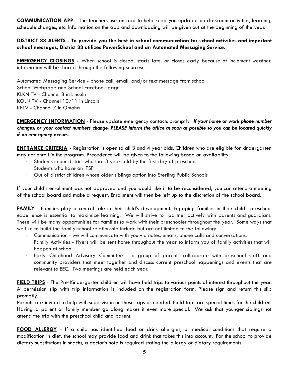**COMMUNICATION APP** - The teachers use an app to help keep you updated on classroom activities, learning, schedule changes, etc. Information on the app and downloading will be given out at the beginning of the year.

#### **DISTRICT 33 ALERTS** - **To provide you the best in school communication for school activities and important school messages, District 33 utilizes PowerSchool and an Automated Messaging Service.**

**EMERGENCY CLOSINGS** - When school is closed, starts late, or closes early because of inclement weather, information will be shared through the following sources:

Automated Messaging Service - phone call, email, and/or text message from school School Webpage and School Facebook page KLKN TV - Channel 8 in Lincoln KOLN TV - Channel 10/11 in Lincoln KETV - Channel 7 in Omaha

**EMERGENCY INFORMATION** - Please update emergency contacts promptly. *If your home or work phone number* changes, or your contact numbers change, PLEASE inform the office as soon as possible so you can be located quickly *if an emergency occurs.*

**ENTRANCE CRITERIA** - Registration is open to all 3 and 4 year olds. Children who are eligible for kindergarten may not enroll in the program. Precedence will be given to the following based on availability:

- Students in our district who turn 3 years old by the first day of preschool
- Students who have an IFSP
- · Out of district children whose older siblings option into Sterling Public Schools

If your child's enrollment was not approved and you would like it to be reconsidered, you can attend a meeting of the school board and make a request. Enrollment will then be left up to the discretion of the school board.

**FAMILY** - Families play a central role in their child's development. Engaging families in their child's preschool experience is essential to maximize learning. We will strive to partner actively with parents and guardians. There will be many opportunities for families to work with their preschooler throughout the year. Some ways that we like to build the family-school relationship include but are not limited to the following:

- · Communication we will communicate with you via notes, emails, phone calls and conversations.
- · Family Activities flyers will be sent home throughout the year to inform you of family activities that will happen at school.
- · Early Childhood Advisory Committee a group of parents collaborate with preschool staff and community providers that meet together and discuss current preschool happenings and events that are relevant to EEC. Two meetings are held each year.

**FIELD TRIPS** - The Pre-Kindergarten children will have field trips to various points of interest throughout the year. A permission slip with trip information is included on the registration form. Please sign and return this slip promptly.

Parents are invited to help with supervision on these trips as needed. Field trips are special times for the children. Having a parent or family member go along makes it even more special. We ask that younger siblings not attend the trip with the preschool child and parent.

**FOOD ALLERGY** - If a child has identified food or drink allergies, or medical conditions that require a modification in diet, the school may provide food and drink that takes this into account. For the school to provide dietary substitutions in snacks, a doctor's note is required stating the allergy or dietary requirements.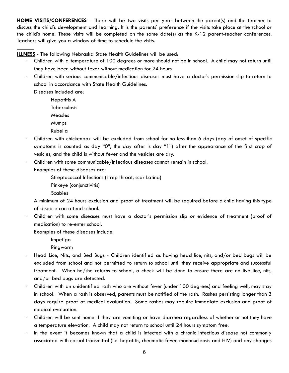**HOME VISITS/CONFERENCES** - There will be two visits per year between the parent(s) and the teacher to discuss the child's development and learning. It is the parents' preference if the visits take place at the school or the child's home. These visits will be completed on the same date(s) as the K-12 parent-teacher conferences. Teachers will give you a window of time to schedule the visits.

**ILLNESS** - The following Nebraska State Health Guidelines will be used:

- · Children with a temperature of 100 degrees or more should not be in school. A child may not return until they have been without fever without medication for 24 hours.
- · Children with serious communicable/infectious diseases must have a doctor's permission slip to return to school in accordance with State Health Guidelines.

Diseases included are:

Hepatitis A

Tuberculosis

Measles

Mumps

Rubella

- Children with chickenpox will be excluded from school for no less than 6 days (day of onset of specific symptoms is counted as day "0", the day after is day "1") after the appearance of the first crop of vesicles, and the child is without fever and the vesicles are dry.
- Children with some communicable/infectious diseases cannot remain in school.

Examples of these diseases are:

Streptococcal Infections (strep throat, scar Latina)

Pinkeye (conjunctivitis)

Scabies

A minimum of 24 hours exclusion and proof of treatment will be required before a child having this type of disease can attend school.

· Children with some diseases must have a doctor's permission slip or evidence of treatment (proof of medication) to re-enter school.

Examples of these diseases include:

Impetigo

Ringworm

- Head Lice, Nits, and Bed Bugs Children identified as having head lice, nits, and/or bed bugs will be excluded from school and not permitted to return to school until they receive appropriate and successful treatment. When he/she returns to school, a check will be done to ensure there are no live lice, nits, and/or bed bugs are detected.
- · Children with an unidentified rash who are without fever (under 100 degrees) and feeling well, may stay in school. When a rash is observed, parents must be notified of the rash. Rashes persisting longer than 3 days require proof of medical evaluation. Some rashes may require immediate exclusion and proof of medical evaluation.
- · Children will be sent home if they are vomiting or have diarrhea regardless of whether or not they have a temperature elevation. A child may not return to school until 24 hours symptom free.
- · In the event it becomes known that a child is infected with a chronic infectious disease not commonly associated with casual transmittal (i.e. hepatitis, rheumatic fever, mononucleosis and HIV) and any changes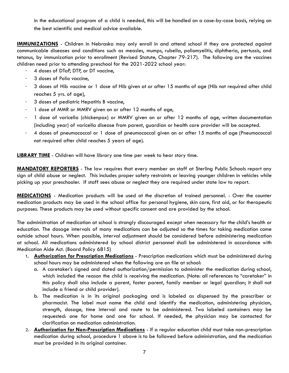in the educational program of a child is needed, this will be handled on a case-by-case basis, relying on the best scientific and medical advice available.

**IMMUNIZATIONS** - Children in Nebraska may only enroll in and attend school if they are protected against communicable diseases and conditions such as measles, mumps, rubella, poliomyelitis, diphtheria, pertussis, and tetanus, by immunization prior to enrollment (Revised Statute, Chapter 79-217). The following are the vaccines children need prior to attending preschool for the 2021-2022 school year:

- · 4 doses of DTaP, DTP, or DT vaccine,
- · 3 doses of Polio vaccine,
- 3 doses of Hib vaccine or 1 dose of Hib given at or after 15 months of age (Hib not required after child reaches 5 yrs. of age),
- · 3 doses of pediatric Hepatitis B vaccine,
- 1 dose of MMR or MMRV given on or after 12 months of age,
- · 1 dose of varicella (chickenpox) or MMRV given on or after 12 months of age, written documentation (including year) of varicella disease from parent, guardian or health care provider will be accepted.
- · 4 doses of pneumococcal or 1 dose of pneumococcal given on or after 15 months of age (Pneumococcal not required after child reaches 5 years of age).

**LIBRARY TIME** - Children will have library one time per week to hear story time.

**MANDATORY REPORTERS** - The law requires that every member on staff at Sterling Public Schools report any sign of child abuse or neglect. This includes proper safety restraints or leaving younger children in vehicles while picking up your preschooler. If staff sees abuse or neglect they are required under state law to report.

**MEDICATIONS** - Medication products will be used at the discretion of trained personnel. - Over the counter medication products may be used in the school office for personal hygiene, skin care, first aid, or for therapeutic purposes. These products may be used without specific consent and are provided by the school.

The administration of medication at school is strongly discouraged except when necessary for the child's health or education. The dosage intervals of many medications can be adjusted so the times for taking medication come outside school hours. When possible, interval adjustment should be considered before administering medication at school. All medications administered by school district personnel shall be administered in accordance with Medication Aide Act. (Board Policy 6815)

- 1. **Authorization for Prescription Medications** Prescription medications which must be administered during school hours may be administered when the following are on file at school:
	- a. A caretaker's signed and dated authorization/permission to administer the medication during school, which included the reason the child is receiving the medication. (Note: all references to "caretaker" in this policy shall also include a parent, foster parent, family member or legal guardian; it shall not include a friend or child provider).
	- b. The medication is in its original packaging and is labeled as dispensed by the prescriber or pharmacist. The label must name the child and identify the medication, administering physician, strength, dosage, time interval and route to be administered. Two labeled containers may be requested: one for home and one for school. If needed, the physician may be contacted for clarification on medication administration.
- 2. **Authorization for Non-Prescription Medications** If a regular education child must take non-prescription medication during school, procedure 1 above is to be followed before administration, and the medication must be provided in its original container.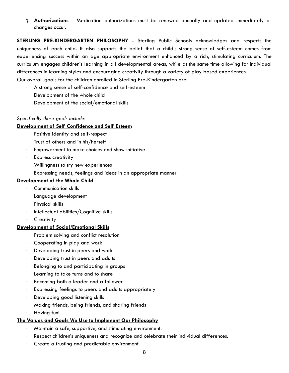3. **Authorizations** - Medication authorizations must be renewed annually and updated immediately as changes occur.

**STERLING PRE-KINDERGARTEN PHILOSOPHY** - Sterling Public Schools acknowledges and respects the uniqueness of each child. It also supports the belief that a child's strong sense of self-esteem comes from experiencing success within an age appropriate environment enhanced by a rich, stimulating curriculum. The curriculum engages children's learning in all developmental areas, while at the same time allowing for individual differences in learning styles and encouraging creativity through a variety of play based experiences.

Our overall goals for the children enrolled in Sterling Pre-Kindergarten are:

- A strong sense of self-confidence and self-esteem
- · Development of the whole child
- · Development of the social/emotional skills

#### *Specifically these goals include:*

#### **Development of Self Confidence and Self Esteem**

- Positive identity and self-respect
- · Trust of others and in his/herself
- Empowerment to make choices and show initiative
- · Express creativity
- Willingness to try new experiences
- · Expressing needs, feelings and ideas in an appropriate manner

#### **Development of the Whole Child**

- · Communication skills
- Language development
- Physical skills
- · Intellectual abilities/Cognitive skills
- **Creativity**

#### **Development of Social/Emotional Skills**

- Problem solving and conflict resolution
- Cooperating in play and work
- Developing trust in peers and work
- Developing trust in peers and adults
- · Belonging to and participating in groups
- Learning to take turns and to share
- Becoming both a leader and a follower
- Expressing feelings to peers and adults appropriately
- · Developing good listening skills
- · Making friends, being friends, and sharing friends
- · Having fun!

#### **The Values and Goals We Use to Implement Our Philosophy**

- · Maintain a safe, supportive, and stimulating environment.
- · Respect children's uniqueness and recognize and celebrate their individual differences.
- Create a trusting and predictable environment.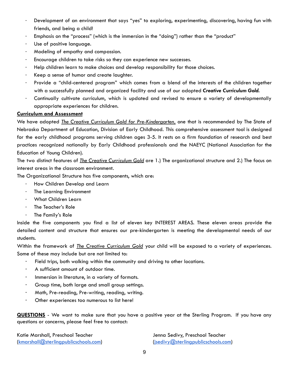- Development of an environment that says "yes" to exploring, experimenting, discovering, having fun with friends, and being a child!
- Emphasis on the "process" (which is the immersion in the "doing") rather than the "product"
- Use of positive language.
- · Modeling of empathy and compassion.
- Encourage children to take risks so they can experience new successes.
- · Help children learn to make choices and develop responsibility for those choices.
- Keep a sense of humor and create laughter.
- Provide a "child-centered program" which comes from a blend of the interests of the children together with a successfully planned and organized facility and use of our adopted *Creative Curriculum Gold.*
- · Continually cultivate curriculum, which is updated and revised to ensure a variety of developmentally appropriate experiences for children.

#### **Curriculum and Assessment**

We have adopted *The Creative Curriculum Gold for Pre-Kindergarten,* one that is recommended by The State of Nebraska Department of Education, Division of Early Childhood. This comprehensive assessment tool is designed for the early childhood programs serving children ages 3-5. It rests on a firm foundation of research and best practices recognized nationally by Early Childhood professionals and the NAEYC (National Association for the Education of Young Children).

The two distinct features of *The Creative Curriculum Gold* are 1.) The organizational structure and 2.) The focus on interest areas in the classroom environment.

The Organizational Structure has five components, which are:

- How Children Develop and Learn
- · The Learning Environment
- · What Children Learn
- · The Teacher's Role
- · The Family's Role

Inside the five components you find a list of eleven key INTEREST AREAS. These eleven areas provide the detailed content and structure that ensures our pre-kindergarten is meeting the developmental needs of our students.

Within the framework of *The Creative Curriculum Gold* your child will be exposed to a variety of experiences. Some of these may include but are not limited to:

- · Field trips, both walking within the community and driving to other locations.
- A sufficient amount of outdoor time.
- · Immersion in literature, in a variety of formats.
- Group time, both large and small group settings.
- Math, Pre-reading, Pre-writing, reading, writing.
- Other experiences too numerous to list here!

**QUESTIONS** - We want to make sure that you have a positive year at the Sterling Program. If you have any questions or concerns, please feel free to contact:

Katie Marshall, Preschool Teacher Jenna Sedivy, Preschool Teacher [\(kmarshall@sterlingpublicschools.com\)](mailto:kmarshall@sterlingpublicschools.com) [\(jsedivy@sterlingpublicschools.com\)](mailto:jsedivy@sterlingpublicschools.com)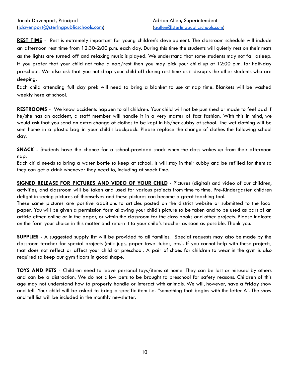**REST TIME** - Rest is extremely important for young children's development. The classroom schedule will include an afternoon rest time from 12:30-2:00 p.m. each day. During this time the students will quietly rest on their mats as the lights are turned off and relaxing music is played. We understand that some students may not fall asleep. If you prefer that your child not take a nap/rest then you may pick your child up at 12:00 p.m. for half-day preschool. We also ask that you not drop your child off during rest time as it disrupts the other students who are sleeping.

Each child attending full day prek will need to bring a blanket to use at nap time. Blankets will be washed weekly here at school.

**RESTROOMS** - We know accidents happen to all children. Your child will not be punished or made to feel bad if he/she has an accident, a staff member will handle it in a very matter of fact fashion. With this in mind, we would ask that you send an extra change of clothes to be kept in his/her cubby at school. The wet clothing will be sent home in a plastic bag in your child's backpack. Please replace the change of clothes the following school day.

**SNACK** - Students have the chance for a school-provided snack when the class wakes up from their afternoon nap.

Each child needs to bring a water bottle to keep at school. It will stay in their cubby and be refilled for them so they can get a drink whenever they need to, including at snack time.

**SIGNED RELEASE FOR PICTURES AND VIDEO OF YOUR CHILD** - Pictures (digital) and video of our children, activities, and classroom will be taken and used for various projects from time to time. Pre-Kindergarten children delight in seeing pictures of themselves and these pictures can become a great teaching tool.

These same pictures are positive additions to articles posted on the district website or submitted to the local paper. You will be given a permission form allowing your child's picture to be taken and to be used as part of an article either online or in the paper, or within the classroom for the class books and other projects. Please indicate on the form your choice in this matter and return it to your child's teacher as soon as possible. Thank you.

**SUPPLIES** - A suggested supply list will be provided to all families. Special requests may also be made by the classroom teacher for special projects (milk jugs, paper towel tubes, etc.). If you cannot help with these projects, that does not reflect or affect your child at preschool. A pair of shoes for children to wear in the gym is also required to keep our gym floors in good shape.

**TOYS AND PETS** - Children need to leave personal toys/items at home. They can be lost or misused by others and can be a distraction. We do not allow pets to be brought to preschool for safety reasons. Children of this age may not understand how to properly handle or interact with animals. We will, however, have a Friday show and tell. Your child will be asked to bring a specific item i.e. "something that begins with the letter A". The show and tell list will be included in the monthly newsletter.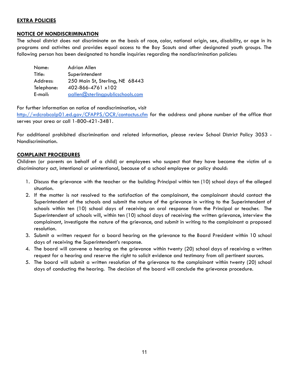#### **EXTRA POLICIES**

#### **NOTICE OF NONDISCRIMINATION**

The school district does not discriminate on the basis of race, color, national origin, sex, disability, or age in its programs and activites and provides equal access to the Boy Scouts and other designated youth groups. The following person has been designated to handle inquiries regarding the nondiscrimination policies:

| Name:      | Adrian Allen                     |  |
|------------|----------------------------------|--|
| Title:     | Superintendent                   |  |
| Address:   | 250 Main St, Sterling, NE 68443  |  |
| Telephone: | 402-866-4761 x102                |  |
| E-mail:    | aallen@sterlingpublicschools.com |  |

For further information on notice of nondiscrimination, visit

<http://wdcrobcolp01.ed.gov/CFAPPS/OCR/contactus.cfm> for the address and phone number of the office that serves your area or call 1-800-421-3481.

For additional prohibited discrimination and related information, please review School District Policy 3053 - Nondiscrimination.

#### **COMPLAINT PROCEDURES**

Children (or parents on behalf of a child) or employees who suspect that they have become the victim of a discriminatory act, intentional or unintentional, because of a school employee or policy should:

- 1. Discuss the grievance with the teacher or the building Principal within ten (10) school days of the alleged situation.
- 2. If the matter is not resolved to the satisfaction of the complainant, the complainant should contact the Superintendent of the schools and submit the nature of the grievance in writing to the Superintendent of schools within ten (10) school days of receiving an oral response from the Principal or teacher. The Superintendent of schools will, within ten (10) school days of receiving the written grievance, interview the complainant, investigate the nature of the grievance, and submit in writing to the complainant a proposed resolution.
- 3. Submit a written request for a board hearing on the grievance to the Board President within 10 school days of receiving the Superintendent's response.
- 4. The board will convene a hearing on the grievance within twenty (20) school days of receiving a written request for a hearing and reserve the right to solicit evidence and testimony from all pertinent sources.
- 5. The board will submit a written resolution of the grievance to the complainant within twenty (20) school days of conducting the hearing. The decision of the board will conclude the grievance procedure.